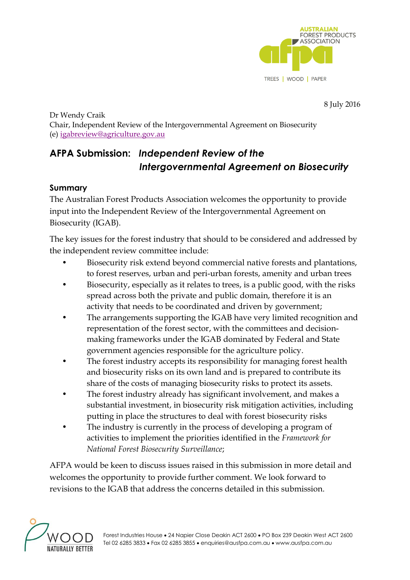

8 July 2016

Dr Wendy Craik Chair, Independent Review of the Intergovernmental Agreement on Biosecurity (e) [igabreview@agriculture.gov.au](mailto:igabreview@agriculture.gov.au)

# **AFPA Submission:** *Independent Review of the Intergovernmental Agreement on Biosecurity*

## **Summary**

The Australian Forest Products Association welcomes the opportunity to provide input into the Independent Review of the Intergovernmental Agreement on Biosecurity (IGAB).

The key issues for the forest industry that should to be considered and addressed by the independent review committee include:

- Biosecurity risk extend beyond commercial native forests and plantations, to forest reserves, urban and peri-urban forests, amenity and urban trees
- Biosecurity, especially as it relates to trees, is a public good, with the risks spread across both the private and public domain, therefore it is an activity that needs to be coordinated and driven by government;
- The arrangements supporting the IGAB have very limited recognition and representation of the forest sector, with the committees and decisionmaking frameworks under the IGAB dominated by Federal and State government agencies responsible for the agriculture policy.
- The forest industry accepts its responsibility for managing forest health and biosecurity risks on its own land and is prepared to contribute its share of the costs of managing biosecurity risks to protect its assets.
- The forest industry already has significant involvement, and makes a substantial investment, in biosecurity risk mitigation activities, including putting in place the structures to deal with forest biosecurity risks
- The industry is currently in the process of developing a program of activities to implement the priorities identified in the *Framework for National Forest Biosecurity Surveillance*;

AFPA would be keen to discuss issues raised in this submission in more detail and welcomes the opportunity to provide further comment. We look forward to revisions to the IGAB that address the concerns detailed in this submission.

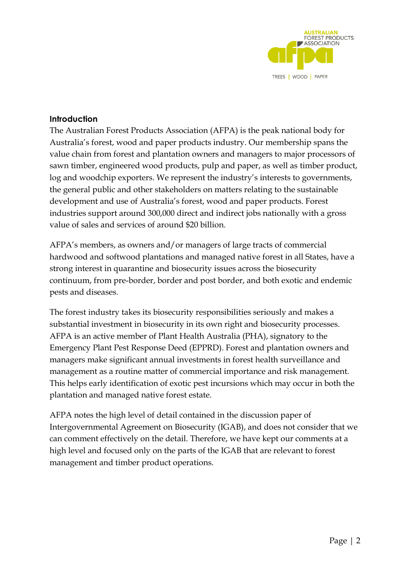

## **Introduction**

The Australian Forest Products Association (AFPA) is the peak national body for Australia's forest, wood and paper products industry. Our membership spans the value chain from forest and plantation owners and managers to major processors of sawn timber, engineered wood products, pulp and paper, as well as timber product, log and woodchip exporters. We represent the industry's interests to governments, the general public and other stakeholders on matters relating to the sustainable development and use of Australia's forest, wood and paper products. Forest industries support around 300,000 direct and indirect jobs nationally with a gross value of sales and services of around \$20 billion.

AFPA's members, as owners and/or managers of large tracts of commercial hardwood and softwood plantations and managed native forest in all States, have a strong interest in quarantine and biosecurity issues across the biosecurity continuum, from pre-border, border and post border, and both exotic and endemic pests and diseases.

The forest industry takes its biosecurity responsibilities seriously and makes a substantial investment in biosecurity in its own right and biosecurity processes. AFPA is an active member of Plant Health Australia (PHA), signatory to the Emergency Plant Pest Response Deed (EPPRD). Forest and plantation owners and managers make significant annual investments in forest health surveillance and management as a routine matter of commercial importance and risk management. This helps early identification of exotic pest incursions which may occur in both the plantation and managed native forest estate.

AFPA notes the high level of detail contained in the discussion paper of Intergovernmental Agreement on Biosecurity (IGAB), and does not consider that we can comment effectively on the detail. Therefore, we have kept our comments at a high level and focused only on the parts of the IGAB that are relevant to forest management and timber product operations.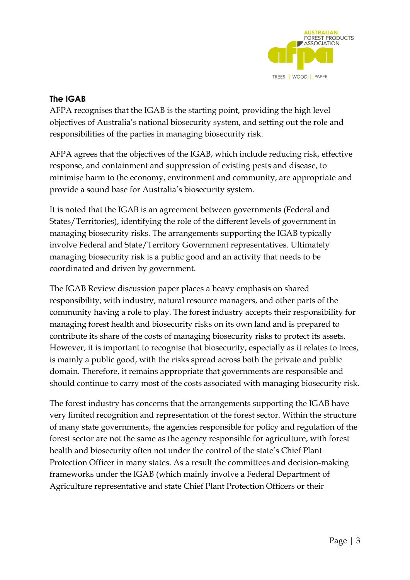

## **The IGAB**

AFPA recognises that the IGAB is the starting point, providing the high level objectives of Australia's national biosecurity system, and setting out the role and responsibilities of the parties in managing biosecurity risk.

AFPA agrees that the objectives of the IGAB, which include reducing risk, effective response, and containment and suppression of existing pests and disease, to minimise harm to the economy, environment and community, are appropriate and provide a sound base for Australia's biosecurity system.

It is noted that the IGAB is an agreement between governments (Federal and States/Territories), identifying the role of the different levels of government in managing biosecurity risks. The arrangements supporting the IGAB typically involve Federal and State/Territory Government representatives. Ultimately managing biosecurity risk is a public good and an activity that needs to be coordinated and driven by government.

The IGAB Review discussion paper places a heavy emphasis on shared responsibility, with industry, natural resource managers, and other parts of the community having a role to play. The forest industry accepts their responsibility for managing forest health and biosecurity risks on its own land and is prepared to contribute its share of the costs of managing biosecurity risks to protect its assets. However, it is important to recognise that biosecurity, especially as it relates to trees, is mainly a public good, with the risks spread across both the private and public domain. Therefore, it remains appropriate that governments are responsible and should continue to carry most of the costs associated with managing biosecurity risk.

The forest industry has concerns that the arrangements supporting the IGAB have very limited recognition and representation of the forest sector. Within the structure of many state governments, the agencies responsible for policy and regulation of the forest sector are not the same as the agency responsible for agriculture, with forest health and biosecurity often not under the control of the state's Chief Plant Protection Officer in many states. As a result the committees and decision-making frameworks under the IGAB (which mainly involve a Federal Department of Agriculture representative and state Chief Plant Protection Officers or their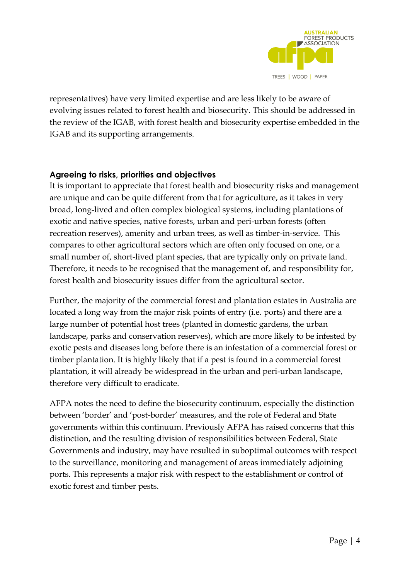

representatives) have very limited expertise and are less likely to be aware of evolving issues related to forest health and biosecurity. This should be addressed in the review of the IGAB, with forest health and biosecurity expertise embedded in the IGAB and its supporting arrangements.

#### **Agreeing to risks, priorities and objectives**

It is important to appreciate that forest health and biosecurity risks and management are unique and can be quite different from that for agriculture, as it takes in very broad, long-lived and often complex biological systems, including plantations of exotic and native species, native forests, urban and peri-urban forests (often recreation reserves), amenity and urban trees, as well as timber-in-service. This compares to other agricultural sectors which are often only focused on one, or a small number of, short-lived plant species, that are typically only on private land. Therefore, it needs to be recognised that the management of, and responsibility for, forest health and biosecurity issues differ from the agricultural sector.

Further, the majority of the commercial forest and plantation estates in Australia are located a long way from the major risk points of entry (i.e. ports) and there are a large number of potential host trees (planted in domestic gardens, the urban landscape, parks and conservation reserves), which are more likely to be infested by exotic pests and diseases long before there is an infestation of a commercial forest or timber plantation. It is highly likely that if a pest is found in a commercial forest plantation, it will already be widespread in the urban and peri-urban landscape, therefore very difficult to eradicate.

AFPA notes the need to define the biosecurity continuum, especially the distinction between 'border' and 'post-border' measures, and the role of Federal and State governments within this continuum. Previously AFPA has raised concerns that this distinction, and the resulting division of responsibilities between Federal, State Governments and industry, may have resulted in suboptimal outcomes with respect to the surveillance, monitoring and management of areas immediately adjoining ports. This represents a major risk with respect to the establishment or control of exotic forest and timber pests.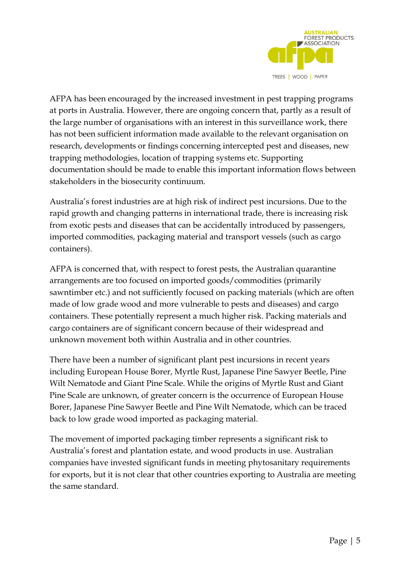

AFPA has been encouraged by the increased investment in pest trapping programs at ports in Australia. However, there are ongoing concern that, partly as a result of the large number of organisations with an interest in this surveillance work, there has not been sufficient information made available to the relevant organisation on research, developments or findings concerning intercepted pest and diseases, new trapping methodologies, location of trapping systems etc. Supporting documentation should be made to enable this important information flows between stakeholders in the biosecurity continuum.

Australia's forest industries are at high risk of indirect pest incursions. Due to the rapid growth and changing patterns in international trade, there is increasing risk from exotic pests and diseases that can be accidentally introduced by passengers, imported commodities, packaging material and transport vessels (such as cargo containers).

AFPA is concerned that, with respect to forest pests, the Australian quarantine arrangements are too focused on imported goods/commodities (primarily sawntimber etc.) and not sufficiently focused on packing materials (which are often made of low grade wood and more vulnerable to pests and diseases) and cargo containers. These potentially represent a much higher risk. Packing materials and cargo containers are of significant concern because of their widespread and unknown movement both within Australia and in other countries.

There have been a number of significant plant pest incursions in recent years including European House Borer, Myrtle Rust, Japanese Pine Sawyer Beetle, Pine Wilt Nematode and Giant Pine Scale. While the origins of Myrtle Rust and Giant Pine Scale are unknown, of greater concern is the occurrence of European House Borer, Japanese Pine Sawyer Beetle and Pine Wilt Nematode, which can be traced back to low grade wood imported as packaging material.

The movement of imported packaging timber represents a significant risk to Australia's forest and plantation estate, and wood products in use. Australian companies have invested significant funds in meeting phytosanitary requirements for exports, but it is not clear that other countries exporting to Australia are meeting the same standard.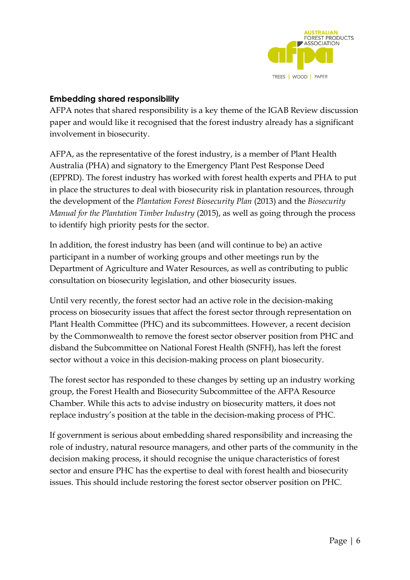

#### **Embedding shared responsibility**

AFPA notes that shared responsibility is a key theme of the IGAB Review discussion paper and would like it recognised that the forest industry already has a significant involvement in biosecurity.

AFPA, as the representative of the forest industry, is a member of Plant Health Australia (PHA) and signatory to the Emergency Plant Pest Response Deed (EPPRD). The forest industry has worked with forest health experts and PHA to put in place the structures to deal with biosecurity risk in plantation resources, through the development of the *Plantation Forest Biosecurity Plan* (2013) and the *Biosecurity Manual for the Plantation Timber Industry* (2015), as well as going through the process to identify high priority pests for the sector.

In addition, the forest industry has been (and will continue to be) an active participant in a number of working groups and other meetings run by the Department of Agriculture and Water Resources, as well as contributing to public consultation on biosecurity legislation, and other biosecurity issues.

Until very recently, the forest sector had an active role in the decision-making process on biosecurity issues that affect the forest sector through representation on Plant Health Committee (PHC) and its subcommittees. However, a recent decision by the Commonwealth to remove the forest sector observer position from PHC and disband the Subcommittee on National Forest Health (SNFH), has left the forest sector without a voice in this decision-making process on plant biosecurity.

The forest sector has responded to these changes by setting up an industry working group, the Forest Health and Biosecurity Subcommittee of the AFPA Resource Chamber. While this acts to advise industry on biosecurity matters, it does not replace industry's position at the table in the decision-making process of PHC.

If government is serious about embedding shared responsibility and increasing the role of industry, natural resource managers, and other parts of the community in the decision making process, it should recognise the unique characteristics of forest sector and ensure PHC has the expertise to deal with forest health and biosecurity issues. This should include restoring the forest sector observer position on PHC.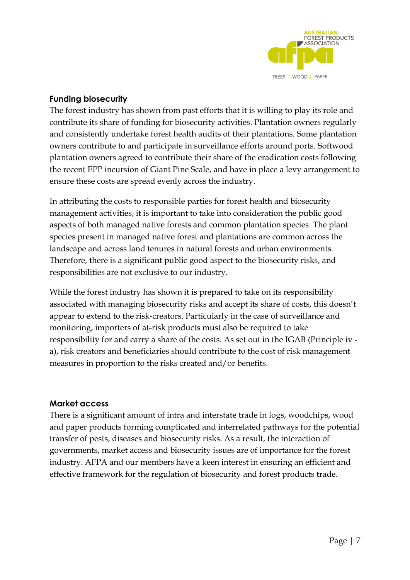

## **Funding biosecurity**

The forest industry has shown from past efforts that it is willing to play its role and contribute its share of funding for biosecurity activities. Plantation owners regularly and consistently undertake forest health audits of their plantations. Some plantation owners contribute to and participate in surveillance efforts around ports. Softwood plantation owners agreed to contribute their share of the eradication costs following the recent EPP incursion of Giant Pine Scale, and have in place a levy arrangement to ensure these costs are spread evenly across the industry.

In attributing the costs to responsible parties for forest health and biosecurity management activities, it is important to take into consideration the public good aspects of both managed native forests and common plantation species. The plant species present in managed native forest and plantations are common across the landscape and across land tenures in natural forests and urban environments. Therefore, there is a significant public good aspect to the biosecurity risks, and responsibilities are not exclusive to our industry.

While the forest industry has shown it is prepared to take on its responsibility associated with managing biosecurity risks and accept its share of costs, this doesn't appear to extend to the risk-creators. Particularly in the case of surveillance and monitoring, importers of at-risk products must also be required to take responsibility for and carry a share of the costs. As set out in the IGAB (Principle iv a), risk creators and beneficiaries should contribute to the cost of risk management measures in proportion to the risks created and/or benefits.

#### **Market access**

There is a significant amount of intra and interstate trade in logs, woodchips, wood and paper products forming complicated and interrelated pathways for the potential transfer of pests, diseases and biosecurity risks. As a result, the interaction of governments, market access and biosecurity issues are of importance for the forest industry. AFPA and our members have a keen interest in ensuring an efficient and effective framework for the regulation of biosecurity and forest products trade.